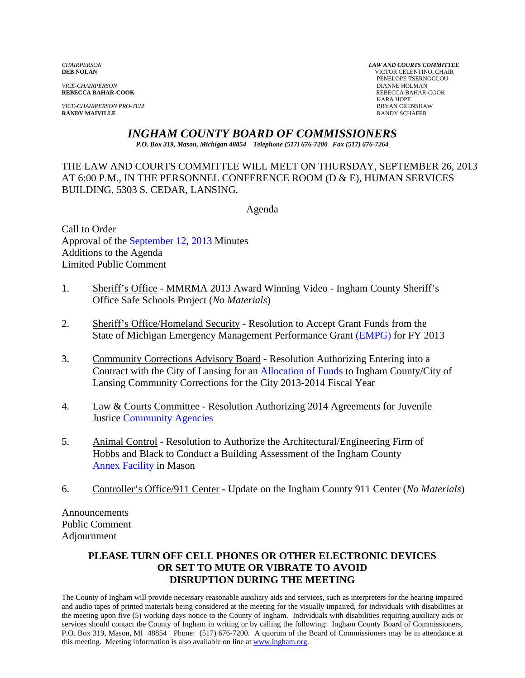**REBECCA BAHAR-COOK** REBECCA BAHAR-COOK

*VICE-CHAIRPERSON PRO-TEM* BRYAN CRENSHAW **RANDY MAIVILLE** 

*CHAIRPERSON LAW AND COURTS COMMITTEE* **VICTOR CELENTINO, CHAIR PENELOPE TSERNOGLOU DIANNE HOLMAN** *VICE-CHAIRPERSON* DIANNE HOLMAN KARA HOPE

# *INGHAM COUNTY BOARD OF COMMISSIONERS*

*P.O. Box 319, Mason, Michigan 48854 Telephone (517) 676-7200 Fax (517) 676-7264*

THE LAW AND COURTS COMMITTEE WILL MEET ON THURSDAY, SEPTEMBER 26, 2013 AT 6:00 P.M., IN THE PERSONNEL CONFERENCE ROOM (D & E), HUMAN SERVICES BUILDING, 5303 S. CEDAR, LANSING.

Agenda

Call to Order Approval [of the September 12, 2013 Minutes](#page-1-0)  Additions to the Agenda Limited Public Comment

- 1. Sheriff's Office MMRMA 2013 Award Winning Video Ingham County Sheriff's Office Safe Schools Project (*No Materials*)
- 2. Sheriff's Office/Homeland Security Resolution to Accept Grant Funds from the State of Michigan Emergency Management Performance Gr[ant \(EMPG\) for FY 201](#page-8-0)3
- 3. Community Corrections Advisory Board Resolution Authorizing Entering into a Contract with the City of Lansing for [an Allocation of Funds to Ingha](#page-10-0)m County/City of Lansing Community Corrections for the City 2013-2014 Fiscal Year
- 4. Law & Courts Committee Resolution Authorizing 2014 Agreements for Juvenile Jus[tice Community Agencies](#page-12-0)
- 5. Animal Control Resolution to Authorize the Architectural/Engineering Firm of Hobbs and Black to Conduct a Building Assessment of the Ingham County [Annex Facility in Mason](#page-15-0)
- 6. Controller's Office/911 Center Update on the Ingham County 911 Center (*No Materials*)

Announcements Public Comment Adjournment

# **PLEASE TURN OFF CELL PHONES OR OTHER ELECTRONIC DEVICES OR SET TO MUTE OR VIBRATE TO AVOID DISRUPTION DURING THE MEETING**

The County of Ingham will provide necessary reasonable auxiliary aids and services, such as interpreters for the hearing impaired and audio tapes of printed materials being considered at the meeting for the visually impaired, for individuals with disabilities at the meeting upon five (5) working days notice to the County of Ingham. Individuals with disabilities requiring auxiliary aids or services should contact the County of Ingham in writing or by calling the following: Ingham County Board of Commissioners, P.O. Box 319, Mason, MI 48854 Phone: (517) 676-7200. A quorum of the Board of Commissioners may be in attendance at this meeting. Meeting information is also available on line at www.ingham.org.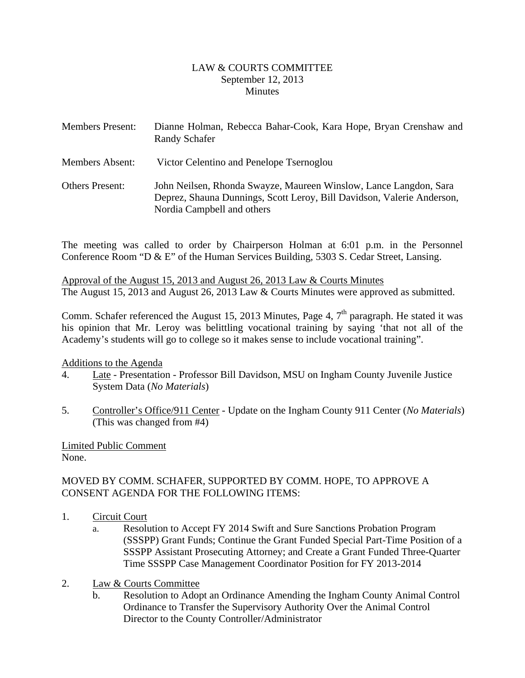#### LAW & COURTS COMMITTEE September 12, 2013 **Minutes**

<span id="page-1-0"></span>

| <b>Members Present:</b> | Dianne Holman, Rebecca Bahar-Cook, Kara Hope, Bryan Crenshaw and<br>Randy Schafer                                                                                         |
|-------------------------|---------------------------------------------------------------------------------------------------------------------------------------------------------------------------|
| <b>Members Absent:</b>  | Victor Celentino and Penelope Tsernoglou                                                                                                                                  |
| <b>Others Present:</b>  | John Neilsen, Rhonda Swayze, Maureen Winslow, Lance Langdon, Sara<br>Deprez, Shauna Dunnings, Scott Leroy, Bill Davidson, Valerie Anderson,<br>Nordia Campbell and others |

The meeting was called to order by Chairperson Holman at 6:01 p.m. in the Personnel Conference Room "D & E" of the Human Services Building, 5303 S. Cedar Street, Lansing.

Approval of the August 15, 2013 and August 26, 2013 Law & Courts Minutes The August 15, 2013 and August 26, 2013 Law & Courts Minutes were approved as submitted.

Comm. Schafer referenced the August 15, 2013 Minutes, Page 4,  $7<sup>th</sup>$  paragraph. He stated it was his opinion that Mr. Leroy was belittling vocational training by saying 'that not all of the Academy's students will go to college so it makes sense to include vocational training".

#### Additions to the Agenda

- 4. Late Presentation Professor Bill Davidson, MSU on Ingham County Juvenile Justice System Data (*No Materials*)
- 5. Controller's Office/911 Center Update on the Ingham County 911 Center (*No Materials*) (This was changed from #4)

#### Limited Public Comment None.

### MOVED BY COMM. SCHAFER, SUPPORTED BY COMM. HOPE, TO APPROVE A CONSENT AGENDA FOR THE FOLLOWING ITEMS:

- 1. Circuit Court
	- a. Resolution to Accept FY 2014 Swift and Sure Sanctions Probation Program (SSSPP) Grant Funds; Continue the Grant Funded Special Part-Time Position of a SSSPP Assistant Prosecuting Attorney; and Create a Grant Funded Three-Quarter Time SSSPP Case Management Coordinator Position for FY 2013-2014
- 2. Law & Courts Committee
	- b. Resolution to Adopt an Ordinance Amending the Ingham County Animal Control Ordinance to Transfer the Supervisory Authority Over the Animal Control Director to the County Controller/Administrator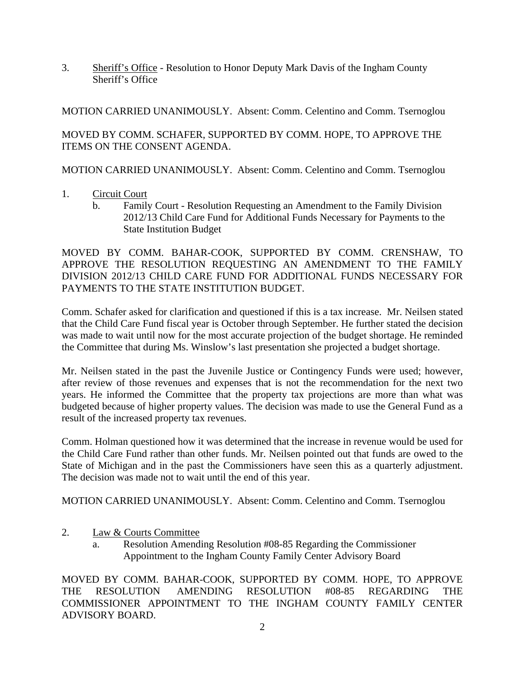3. Sheriff's Office - Resolution to Honor Deputy Mark Davis of the Ingham County Sheriff's Office

MOTION CARRIED UNANIMOUSLY. Absent: Comm. Celentino and Comm. Tsernoglou

MOVED BY COMM. SCHAFER, SUPPORTED BY COMM. HOPE, TO APPROVE THE ITEMS ON THE CONSENT AGENDA.

MOTION CARRIED UNANIMOUSLY. Absent: Comm. Celentino and Comm. Tsernoglou

- 1. Circuit Court
	- b. Family Court Resolution Requesting an Amendment to the Family Division 2012/13 Child Care Fund for Additional Funds Necessary for Payments to the State Institution Budget

MOVED BY COMM. BAHAR-COOK, SUPPORTED BY COMM. CRENSHAW, TO APPROVE THE RESOLUTION REQUESTING AN AMENDMENT TO THE FAMILY DIVISION 2012/13 CHILD CARE FUND FOR ADDITIONAL FUNDS NECESSARY FOR PAYMENTS TO THE STATE INSTITUTION BUDGET.

Comm. Schafer asked for clarification and questioned if this is a tax increase. Mr. Neilsen stated that the Child Care Fund fiscal year is October through September. He further stated the decision was made to wait until now for the most accurate projection of the budget shortage. He reminded the Committee that during Ms. Winslow's last presentation she projected a budget shortage.

Mr. Neilsen stated in the past the Juvenile Justice or Contingency Funds were used; however, after review of those revenues and expenses that is not the recommendation for the next two years. He informed the Committee that the property tax projections are more than what was budgeted because of higher property values. The decision was made to use the General Fund as a result of the increased property tax revenues.

Comm. Holman questioned how it was determined that the increase in revenue would be used for the Child Care Fund rather than other funds. Mr. Neilsen pointed out that funds are owed to the State of Michigan and in the past the Commissioners have seen this as a quarterly adjustment. The decision was made not to wait until the end of this year.

MOTION CARRIED UNANIMOUSLY. Absent: Comm. Celentino and Comm. Tsernoglou

- 2. Law & Courts Committee
	- a. Resolution Amending Resolution #08-85 Regarding the Commissioner Appointment to the Ingham County Family Center Advisory Board

MOVED BY COMM. BAHAR-COOK, SUPPORTED BY COMM. HOPE, TO APPROVE THE RESOLUTION AMENDING RESOLUTION #08-85 REGARDING THE COMMISSIONER APPOINTMENT TO THE INGHAM COUNTY FAMILY CENTER ADVISORY BOARD.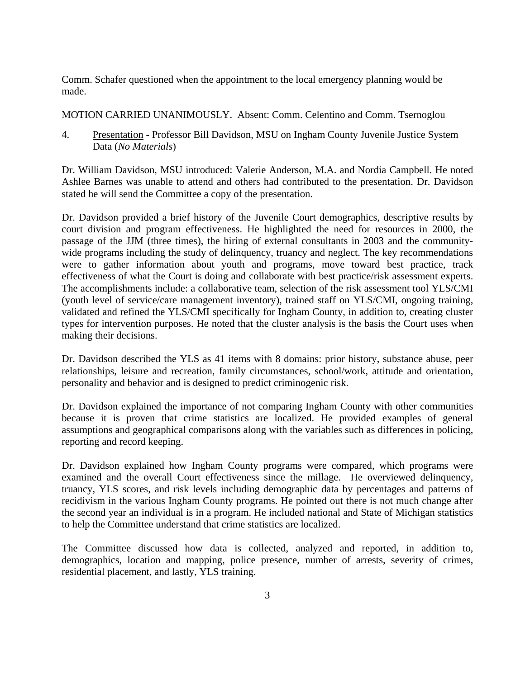Comm. Schafer questioned when the appointment to the local emergency planning would be made.

MOTION CARRIED UNANIMOUSLY. Absent: Comm. Celentino and Comm. Tsernoglou

4. Presentation - Professor Bill Davidson, MSU on Ingham County Juvenile Justice System Data (*No Materials*)

Dr. William Davidson, MSU introduced: Valerie Anderson, M.A. and Nordia Campbell. He noted Ashlee Barnes was unable to attend and others had contributed to the presentation. Dr. Davidson stated he will send the Committee a copy of the presentation.

Dr. Davidson provided a brief history of the Juvenile Court demographics, descriptive results by court division and program effectiveness. He highlighted the need for resources in 2000, the passage of the JJM (three times), the hiring of external consultants in 2003 and the communitywide programs including the study of delinquency, truancy and neglect. The key recommendations were to gather information about youth and programs, move toward best practice, track effectiveness of what the Court is doing and collaborate with best practice/risk assessment experts. The accomplishments include: a collaborative team, selection of the risk assessment tool YLS/CMI (youth level of service/care management inventory), trained staff on YLS/CMI, ongoing training, validated and refined the YLS/CMI specifically for Ingham County, in addition to, creating cluster types for intervention purposes. He noted that the cluster analysis is the basis the Court uses when making their decisions.

Dr. Davidson described the YLS as 41 items with 8 domains: prior history, substance abuse, peer relationships, leisure and recreation, family circumstances, school/work, attitude and orientation, personality and behavior and is designed to predict criminogenic risk.

Dr. Davidson explained the importance of not comparing Ingham County with other communities because it is proven that crime statistics are localized. He provided examples of general assumptions and geographical comparisons along with the variables such as differences in policing, reporting and record keeping.

Dr. Davidson explained how Ingham County programs were compared, which programs were examined and the overall Court effectiveness since the millage. He overviewed delinquency, truancy, YLS scores, and risk levels including demographic data by percentages and patterns of recidivism in the various Ingham County programs. He pointed out there is not much change after the second year an individual is in a program. He included national and State of Michigan statistics to help the Committee understand that crime statistics are localized.

The Committee discussed how data is collected, analyzed and reported, in addition to, demographics, location and mapping, police presence, number of arrests, severity of crimes, residential placement, and lastly, YLS training.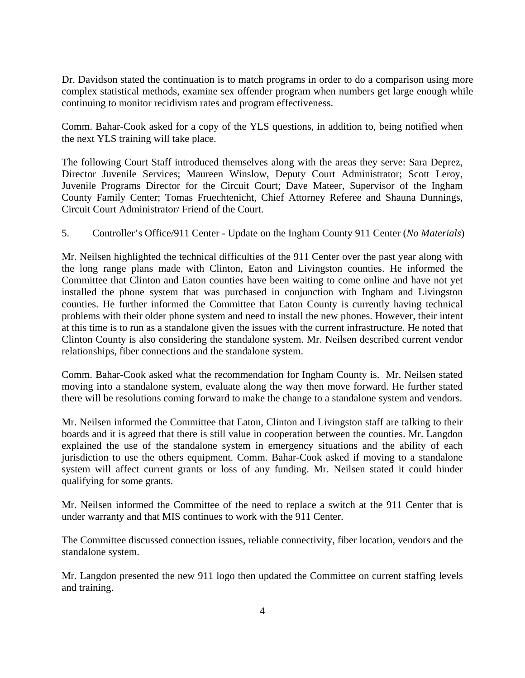Dr. Davidson stated the continuation is to match programs in order to do a comparison using more complex statistical methods, examine sex offender program when numbers get large enough while continuing to monitor recidivism rates and program effectiveness.

Comm. Bahar-Cook asked for a copy of the YLS questions, in addition to, being notified when the next YLS training will take place.

The following Court Staff introduced themselves along with the areas they serve: Sara Deprez, Director Juvenile Services; Maureen Winslow, Deputy Court Administrator; Scott Leroy, Juvenile Programs Director for the Circuit Court; Dave Mateer, Supervisor of the Ingham County Family Center; Tomas Fruechtenicht, Chief Attorney Referee and Shauna Dunnings, Circuit Court Administrator/ Friend of the Court.

### 5. Controller's Office/911 Center - Update on the Ingham County 911 Center (*No Materials*)

Mr. Neilsen highlighted the technical difficulties of the 911 Center over the past year along with the long range plans made with Clinton, Eaton and Livingston counties. He informed the Committee that Clinton and Eaton counties have been waiting to come online and have not yet installed the phone system that was purchased in conjunction with Ingham and Livingston counties. He further informed the Committee that Eaton County is currently having technical problems with their older phone system and need to install the new phones. However, their intent at this time is to run as a standalone given the issues with the current infrastructure. He noted that Clinton County is also considering the standalone system. Mr. Neilsen described current vendor relationships, fiber connections and the standalone system.

Comm. Bahar-Cook asked what the recommendation for Ingham County is. Mr. Neilsen stated moving into a standalone system, evaluate along the way then move forward. He further stated there will be resolutions coming forward to make the change to a standalone system and vendors.

Mr. Neilsen informed the Committee that Eaton, Clinton and Livingston staff are talking to their boards and it is agreed that there is still value in cooperation between the counties. Mr. Langdon explained the use of the standalone system in emergency situations and the ability of each jurisdiction to use the others equipment. Comm. Bahar-Cook asked if moving to a standalone system will affect current grants or loss of any funding. Mr. Neilsen stated it could hinder qualifying for some grants.

Mr. Neilsen informed the Committee of the need to replace a switch at the 911 Center that is under warranty and that MIS continues to work with the 911 Center.

The Committee discussed connection issues, reliable connectivity, fiber location, vendors and the standalone system.

Mr. Langdon presented the new 911 logo then updated the Committee on current staffing levels and training.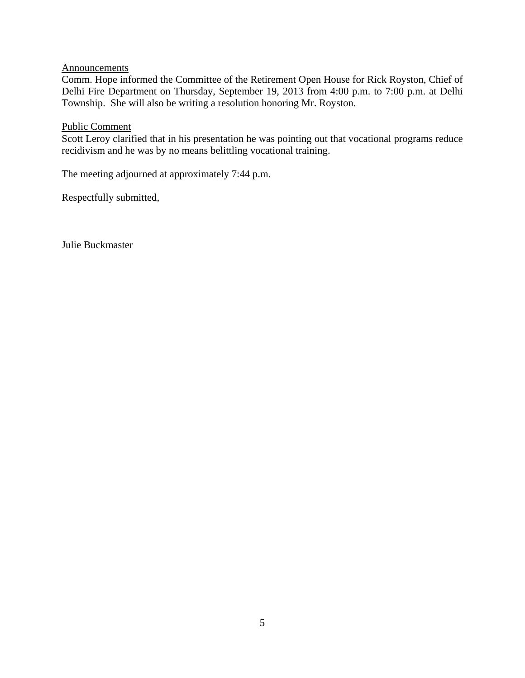Announcements

Comm. Hope informed the Committee of the Retirement Open House for Rick Royston, Chief of Delhi Fire Department on Thursday, September 19, 2013 from 4:00 p.m. to 7:00 p.m. at Delhi Township. She will also be writing a resolution honoring Mr. Royston.

#### Public Comment

Scott Leroy clarified that in his presentation he was pointing out that vocational programs reduce recidivism and he was by no means belittling vocational training.

The meeting adjourned at approximately 7:44 p.m.

Respectfully submitted,

Julie Buckmaster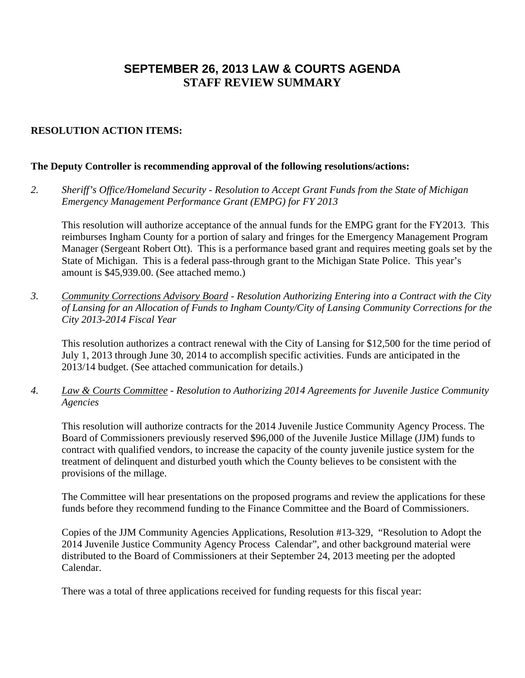# **SEPTEMBER 26, 2013 LAW & COURTS AGENDA STAFF REVIEW SUMMARY**

### **RESOLUTION ACTION ITEMS:**

#### **The Deputy Controller is recommending approval of the following resolutions/actions:**

*2. Sheriff's Office/Homeland Security - Resolution to Accept Grant Funds from the State of Michigan Emergency Management Performance Grant (EMPG) for FY 2013* 

This resolution will authorize acceptance of the annual funds for the EMPG grant for the FY2013. This reimburses Ingham County for a portion of salary and fringes for the Emergency Management Program Manager (Sergeant Robert Ott). This is a performance based grant and requires meeting goals set by the State of Michigan. This is a federal pass-through grant to the Michigan State Police. This year's amount is \$45,939.00. (See attached memo.)

*3. Community Corrections Advisory Board - Resolution Authorizing Entering into a Contract with the City of Lansing for an Allocation of Funds to Ingham County/City of Lansing Community Corrections for the City 2013-2014 Fiscal Year* 

This resolution authorizes a contract renewal with the City of Lansing for \$12,500 for the time period of July 1, 2013 through June 30, 2014 to accomplish specific activities. Funds are anticipated in the 2013/14 budget. (See attached communication for details.)

*4. Law & Courts Committee - Resolution to Authorizing 2014 Agreements for Juvenile Justice Community Agencies* 

This resolution will authorize contracts for the 2014 Juvenile Justice Community Agency Process. The Board of Commissioners previously reserved \$96,000 of the Juvenile Justice Millage (JJM) funds to contract with qualified vendors, to increase the capacity of the county juvenile justice system for the treatment of delinquent and disturbed youth which the County believes to be consistent with the provisions of the millage.

The Committee will hear presentations on the proposed programs and review the applications for these funds before they recommend funding to the Finance Committee and the Board of Commissioners.

Copies of the JJM Community Agencies Applications, Resolution #13-329, "Resolution to Adopt the 2014 Juvenile Justice Community Agency Process Calendar", and other background material were distributed to the Board of Commissioners at their September 24, 2013 meeting per the adopted Calendar.

There was a total of three applications received for funding requests for this fiscal year: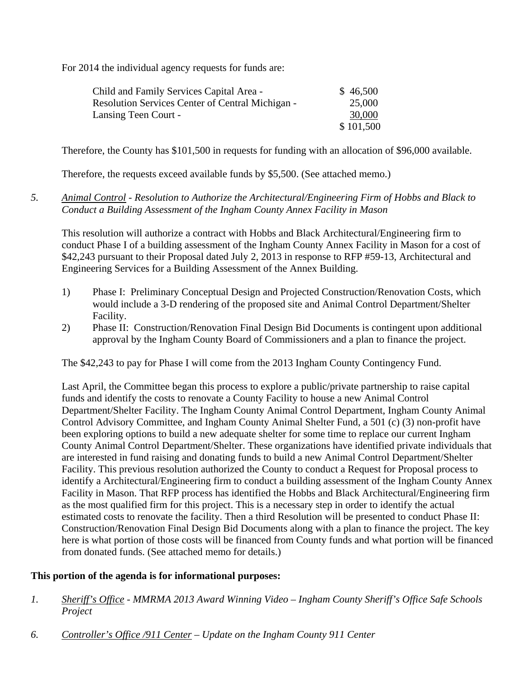For 2014 the individual agency requests for funds are:

| Child and Family Services Capital Area -         | \$46,500  |
|--------------------------------------------------|-----------|
| Resolution Services Center of Central Michigan - | 25,000    |
| Lansing Teen Court -                             | 30,000    |
|                                                  | \$101,500 |

Therefore, the County has \$101,500 in requests for funding with an allocation of \$96,000 available.

Therefore, the requests exceed available funds by \$5,500. (See attached memo.)

*5. Animal Control - Resolution to Authorize the Architectural/Engineering Firm of Hobbs and Black to Conduct a Building Assessment of the Ingham County Annex Facility in Mason* 

This resolution will authorize a contract with Hobbs and Black Architectural/Engineering firm to conduct Phase I of a building assessment of the Ingham County Annex Facility in Mason for a cost of \$42,243 pursuant to their Proposal dated July 2, 2013 in response to RFP #59-13, Architectural and Engineering Services for a Building Assessment of the Annex Building.

- 1) Phase I: Preliminary Conceptual Design and Projected Construction/Renovation Costs, which would include a 3-D rendering of the proposed site and Animal Control Department/Shelter Facility.
- 2) Phase II: Construction/Renovation Final Design Bid Documents is contingent upon additional approval by the Ingham County Board of Commissioners and a plan to finance the project.

The \$42,243 to pay for Phase I will come from the 2013 Ingham County Contingency Fund.

Last April, the Committee began this process to explore a public/private partnership to raise capital funds and identify the costs to renovate a County Facility to house a new Animal Control Department/Shelter Facility. The Ingham County Animal Control Department, Ingham County Animal Control Advisory Committee, and Ingham County Animal Shelter Fund, a 501 (c) (3) non-profit have been exploring options to build a new adequate shelter for some time to replace our current Ingham County Animal Control Department/Shelter. These organizations have identified private individuals that are interested in fund raising and donating funds to build a new Animal Control Department/Shelter Facility. This previous resolution authorized the County to conduct a Request for Proposal process to identify a Architectural/Engineering firm to conduct a building assessment of the Ingham County Annex Facility in Mason. That RFP process has identified the Hobbs and Black Architectural/Engineering firm as the most qualified firm for this project. This is a necessary step in order to identify the actual estimated costs to renovate the facility. Then a third Resolution will be presented to conduct Phase II: Construction/Renovation Final Design Bid Documents along with a plan to finance the project. The key here is what portion of those costs will be financed from County funds and what portion will be financed from donated funds. (See attached memo for details.)

### **This portion of the agenda is for informational purposes:**

- *1. Sheriff's Office MMRMA 2013 Award Winning Video Ingham County Sheriff's Office Safe Schools Project*
- *6. Controller's Office /911 Center Update on the Ingham County 911 Center*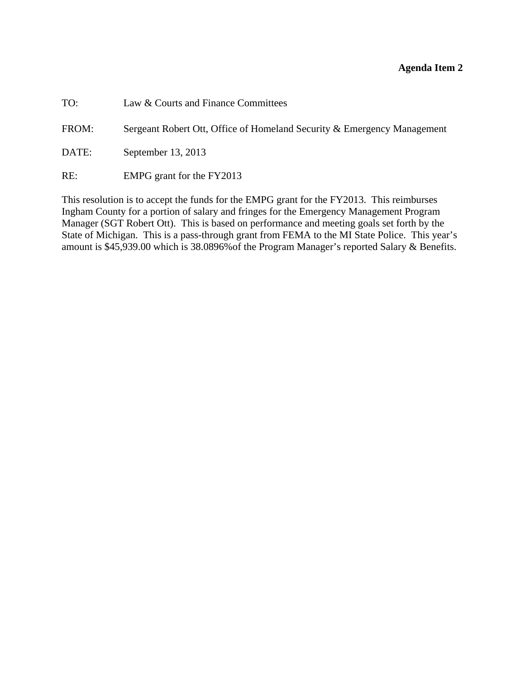<span id="page-8-0"></span>TO: Law & Courts and Finance Committees FROM: Sergeant Robert Ott, Office of Homeland Security & Emergency Management DATE: September 13, 2013 RE: EMPG grant for the FY2013

This resolution is to accept the funds for the EMPG grant for the FY2013. This reimburses Ingham County for a portion of salary and fringes for the Emergency Management Program Manager (SGT Robert Ott). This is based on performance and meeting goals set forth by the State of Michigan. This is a pass-through grant from FEMA to the MI State Police. This year's amount is \$45,939.00 which is 38.0896%of the Program Manager's reported Salary & Benefits.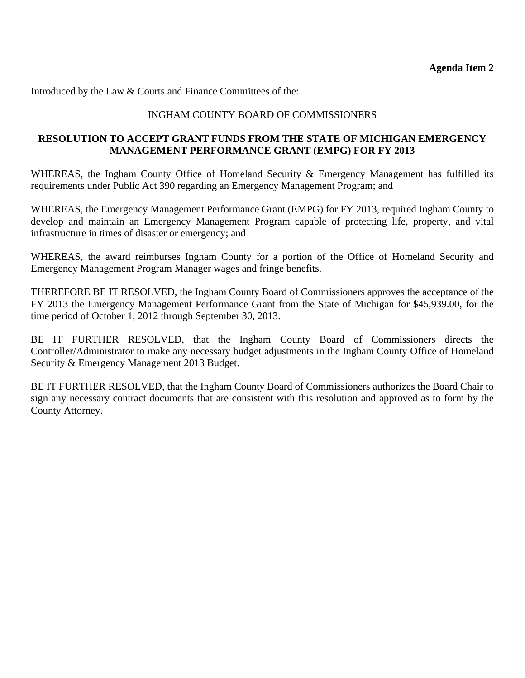Introduced by the Law & Courts and Finance Committees of the:

### INGHAM COUNTY BOARD OF COMMISSIONERS

### **RESOLUTION TO ACCEPT GRANT FUNDS FROM THE STATE OF MICHIGAN EMERGENCY MANAGEMENT PERFORMANCE GRANT (EMPG) FOR FY 2013**

WHEREAS, the Ingham County Office of Homeland Security & Emergency Management has fulfilled its requirements under Public Act 390 regarding an Emergency Management Program; and

WHEREAS, the Emergency Management Performance Grant (EMPG) for FY 2013, required Ingham County to develop and maintain an Emergency Management Program capable of protecting life, property, and vital infrastructure in times of disaster or emergency; and

WHEREAS, the award reimburses Ingham County for a portion of the Office of Homeland Security and Emergency Management Program Manager wages and fringe benefits.

THEREFORE BE IT RESOLVED, the Ingham County Board of Commissioners approves the acceptance of the FY 2013 the Emergency Management Performance Grant from the State of Michigan for \$45,939.00, for the time period of October 1, 2012 through September 30, 2013.

BE IT FURTHER RESOLVED, that the Ingham County Board of Commissioners directs the Controller/Administrator to make any necessary budget adjustments in the Ingham County Office of Homeland Security & Emergency Management 2013 Budget.

BE IT FURTHER RESOLVED, that the Ingham County Board of Commissioners authorizes the Board Chair to sign any necessary contract documents that are consistent with this resolution and approved as to form by the County Attorney.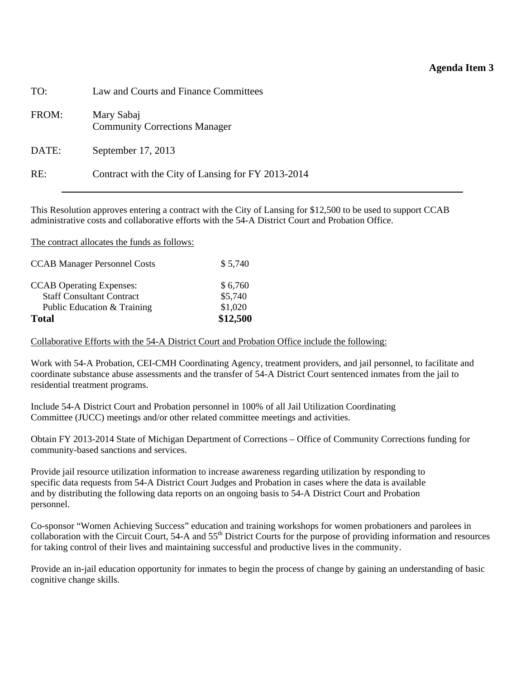<span id="page-10-0"></span>

| TO:   | Law and Courts and Finance Committees              |
|-------|----------------------------------------------------|
| FROM: | Mary Sabaj<br><b>Community Corrections Manager</b> |
| DATE: | September 17, 2013                                 |
| RE:   | Contract with the City of Lansing for FY 2013-2014 |

This Resolution approves entering a contract with the City of Lansing for \$12,500 to be used to support CCAB administrative costs and collaborative efforts with the 54-A District Court and Probation Office.

The contract allocates the funds as follows:

| <b>Total</b>                        | \$12,500 |
|-------------------------------------|----------|
| Public Education & Training         | \$1,020  |
| <b>Staff Consultant Contract</b>    | \$5,740  |
| <b>CCAB</b> Operating Expenses:     | \$6,760  |
| <b>CCAB Manager Personnel Costs</b> | \$5,740  |

Collaborative Efforts with the 54-A District Court and Probation Office include the following:

Work with 54-A Probation, CEI-CMH Coordinating Agency, treatment providers, and jail personnel, to facilitate and coordinate substance abuse assessments and the transfer of 54-A District Court sentenced inmates from the jail to residential treatment programs.

Include 54-A District Court and Probation personnel in 100% of all Jail Utilization Coordinating Committee (JUCC) meetings and/or other related committee meetings and activities.

Obtain FY 2013-2014 State of Michigan Department of Corrections – Office of Community Corrections funding for community-based sanctions and services.

Provide jail resource utilization information to increase awareness regarding utilization by responding to specific data requests from 54-A District Court Judges and Probation in cases where the data is available and by distributing the following data reports on an ongoing basis to 54-A District Court and Probation personnel.

Co-sponsor "Women Achieving Success" education and training workshops for women probationers and parolees in collaboration with the Circuit Court, 54-A and 55<sup>th</sup> District Courts for the purpose of providing information and resources for taking control of their lives and maintaining successful and productive lives in the community.

Provide an in-jail education opportunity for inmates to begin the process of change by gaining an understanding of basic cognitive change skills.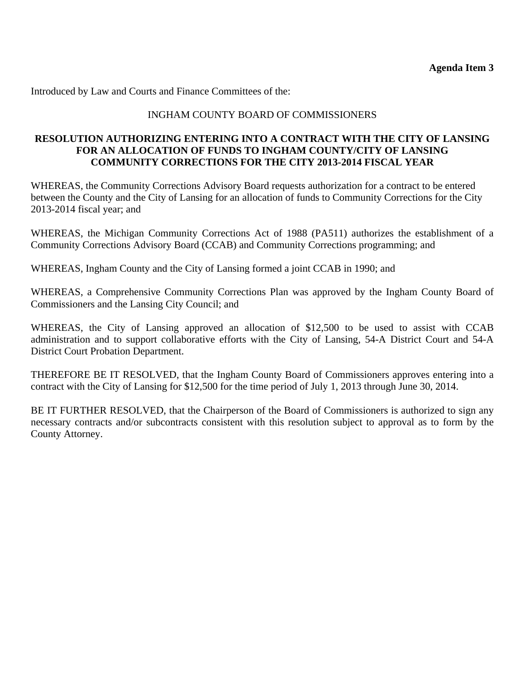Introduced by Law and Courts and Finance Committees of the:

# INGHAM COUNTY BOARD OF COMMISSIONERS

### **RESOLUTION AUTHORIZING ENTERING INTO A CONTRACT WITH THE CITY OF LANSING FOR AN ALLOCATION OF FUNDS TO INGHAM COUNTY/CITY OF LANSING COMMUNITY CORRECTIONS FOR THE CITY 2013-2014 FISCAL YEAR**

WHEREAS, the Community Corrections Advisory Board requests authorization for a contract to be entered between the County and the City of Lansing for an allocation of funds to Community Corrections for the City 2013-2014 fiscal year; and

WHEREAS, the Michigan Community Corrections Act of 1988 (PA511) authorizes the establishment of a Community Corrections Advisory Board (CCAB) and Community Corrections programming; and

WHEREAS, Ingham County and the City of Lansing formed a joint CCAB in 1990; and

WHEREAS, a Comprehensive Community Corrections Plan was approved by the Ingham County Board of Commissioners and the Lansing City Council; and

WHEREAS, the City of Lansing approved an allocation of \$12,500 to be used to assist with CCAB administration and to support collaborative efforts with the City of Lansing, 54-A District Court and 54-A District Court Probation Department.

THEREFORE BE IT RESOLVED, that the Ingham County Board of Commissioners approves entering into a contract with the City of Lansing for \$12,500 for the time period of July 1, 2013 through June 30, 2014.

BE IT FURTHER RESOLVED, that the Chairperson of the Board of Commissioners is authorized to sign any necessary contracts and/or subcontracts consistent with this resolution subject to approval as to form by the County Attorney.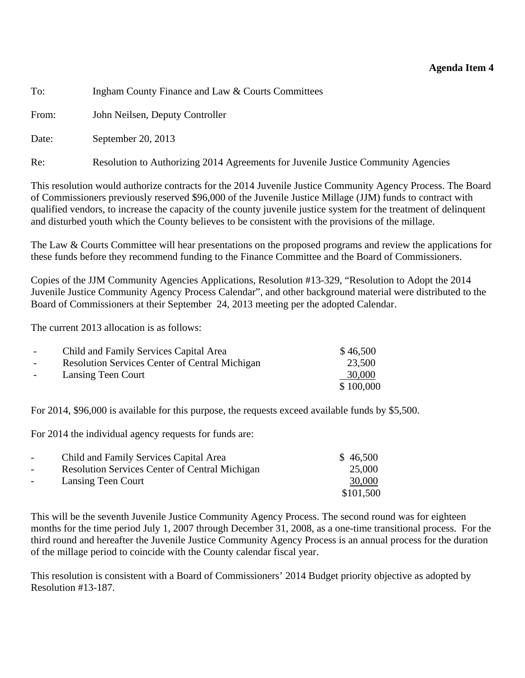<span id="page-12-0"></span>To: Ingham County Finance and Law & Courts Committees

From: John Neilsen, Deputy Controller

Date: September 20, 2013

Re: Resolution to Authorizing 2014 Agreements for Juvenile Justice Community Agencies

This resolution would authorize contracts for the 2014 Juvenile Justice Community Agency Process. The Board of Commissioners previously reserved \$96,000 of the Juvenile Justice Millage (JJM) funds to contract with qualified vendors, to increase the capacity of the county juvenile justice system for the treatment of delinquent and disturbed youth which the County believes to be consistent with the provisions of the millage.

The Law & Courts Committee will hear presentations on the proposed programs and review the applications for these funds before they recommend funding to the Finance Committee and the Board of Commissioners.

Copies of the JJM Community Agencies Applications, Resolution #13-329, "Resolution to Adopt the 2014 Juvenile Justice Community Agency Process Calendar", and other background material were distributed to the Board of Commissioners at their September 24, 2013 meeting per the adopted Calendar.

The current 2013 allocation is as follows:

| $\sim$ | Child and Family Services Capital Area                | \$46,500  |
|--------|-------------------------------------------------------|-----------|
|        | <b>Resolution Services Center of Central Michigan</b> | 23,500    |
| $\sim$ | Lansing Teen Court                                    | 30,000    |
|        |                                                       | \$100,000 |

For 2014, \$96,000 is available for this purpose, the requests exceed available funds by \$5,500.

For 2014 the individual agency requests for funds are:

| $\sim$ $-$ | Child and Family Services Capital Area                | \$46,500  |
|------------|-------------------------------------------------------|-----------|
| $\sim$     | <b>Resolution Services Center of Central Michigan</b> | 25,000    |
| $\sim$     | Lansing Teen Court                                    | 30,000    |
|            |                                                       | \$101,500 |

This will be the seventh Juvenile Justice Community Agency Process. The second round was for eighteen months for the time period July 1, 2007 through December 31, 2008, as a one-time transitional process. For the third round and hereafter the Juvenile Justice Community Agency Process is an annual process for the duration of the millage period to coincide with the County calendar fiscal year.

This resolution is consistent with a Board of Commissioners' 2014 Budget priority objective as adopted by Resolution #13-187.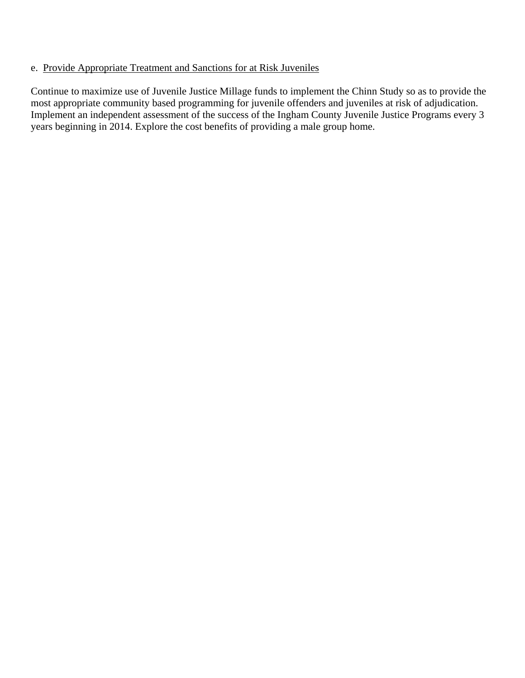# e. Provide Appropriate Treatment and Sanctions for at Risk Juveniles

Continue to maximize use of Juvenile Justice Millage funds to implement the Chinn Study so as to provide the most appropriate community based programming for juvenile offenders and juveniles at risk of adjudication. Implement an independent assessment of the success of the Ingham County Juvenile Justice Programs every 3 years beginning in 2014. Explore the cost benefits of providing a male group home.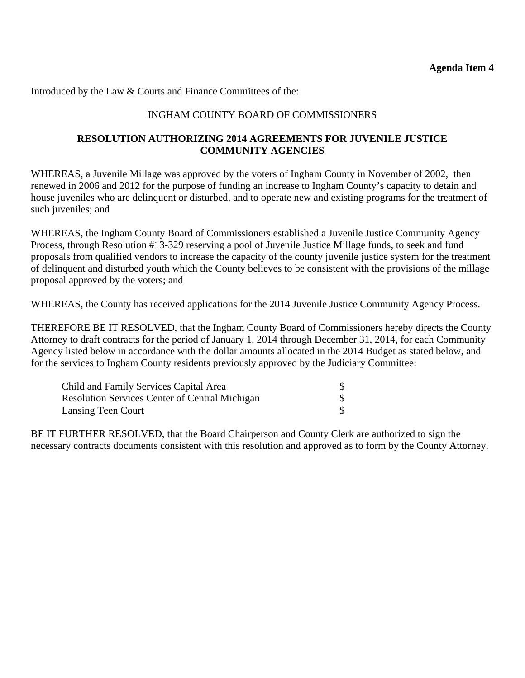Introduced by the Law & Courts and Finance Committees of the:

# INGHAM COUNTY BOARD OF COMMISSIONERS

## **RESOLUTION AUTHORIZING 2014 AGREEMENTS FOR JUVENILE JUSTICE COMMUNITY AGENCIES**

WHEREAS, a Juvenile Millage was approved by the voters of Ingham County in November of 2002, then renewed in 2006 and 2012 for the purpose of funding an increase to Ingham County's capacity to detain and house juveniles who are delinquent or disturbed, and to operate new and existing programs for the treatment of such juveniles; and

WHEREAS, the Ingham County Board of Commissioners established a Juvenile Justice Community Agency Process, through Resolution #13-329 reserving a pool of Juvenile Justice Millage funds, to seek and fund proposals from qualified vendors to increase the capacity of the county juvenile justice system for the treatment of delinquent and disturbed youth which the County believes to be consistent with the provisions of the millage proposal approved by the voters; and

WHEREAS, the County has received applications for the 2014 Juvenile Justice Community Agency Process.

THEREFORE BE IT RESOLVED, that the Ingham County Board of Commissioners hereby directs the County Attorney to draft contracts for the period of January 1, 2014 through December 31, 2014, for each Community Agency listed below in accordance with the dollar amounts allocated in the 2014 Budget as stated below, and for the services to Ingham County residents previously approved by the Judiciary Committee:

| Child and Family Services Capital Area                |  |
|-------------------------------------------------------|--|
| <b>Resolution Services Center of Central Michigan</b> |  |
| <b>Lansing Teen Court</b>                             |  |

BE IT FURTHER RESOLVED, that the Board Chairperson and County Clerk are authorized to sign the necessary contracts documents consistent with this resolution and approved as to form by the County Attorney.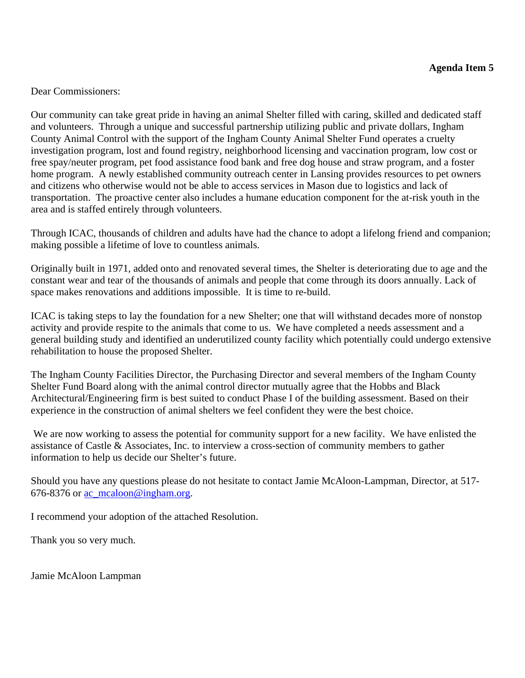<span id="page-15-0"></span>Dear Commissioners:

Our community can take great pride in having an animal Shelter filled with caring, skilled and dedicated staff and volunteers. Through a unique and successful partnership utilizing public and private dollars, Ingham County Animal Control with the support of the Ingham County Animal Shelter Fund operates a cruelty investigation program, lost and found registry, neighborhood licensing and vaccination program, low cost or free spay/neuter program, pet food assistance food bank and free dog house and straw program, and a foster home program. A newly established community outreach center in Lansing provides resources to pet owners and citizens who otherwise would not be able to access services in Mason due to logistics and lack of transportation. The proactive center also includes a humane education component for the at-risk youth in the area and is staffed entirely through volunteers.

Through ICAC, thousands of children and adults have had the chance to adopt a lifelong friend and companion; making possible a lifetime of love to countless animals.

Originally built in 1971, added onto and renovated several times, the Shelter is deteriorating due to age and the constant wear and tear of the thousands of animals and people that come through its doors annually. Lack of space makes renovations and additions impossible. It is time to re-build.

ICAC is taking steps to lay the foundation for a new Shelter; one that will withstand decades more of nonstop activity and provide respite to the animals that come to us. We have completed a needs assessment and a general building study and identified an underutilized county facility which potentially could undergo extensive rehabilitation to house the proposed Shelter.

The Ingham County Facilities Director, the Purchasing Director and several members of the Ingham County Shelter Fund Board along with the animal control director mutually agree that the Hobbs and Black Architectural/Engineering firm is best suited to conduct Phase I of the building assessment. Based on their experience in the construction of animal shelters we feel confident they were the best choice.

We are now working to assess the potential for community support for a new facility. We have enlisted the assistance of Castle & Associates, Inc. to interview a cross-section of community members to gather information to help us decide our Shelter's future.

Should you have any questions please do not hesitate to contact Jamie McAloon-Lampman, Director, at 517- 676-8376 or ac\_mcaloon@ingham.org.

I recommend your adoption of the attached Resolution.

Thank you so very much.

Jamie McAloon Lampman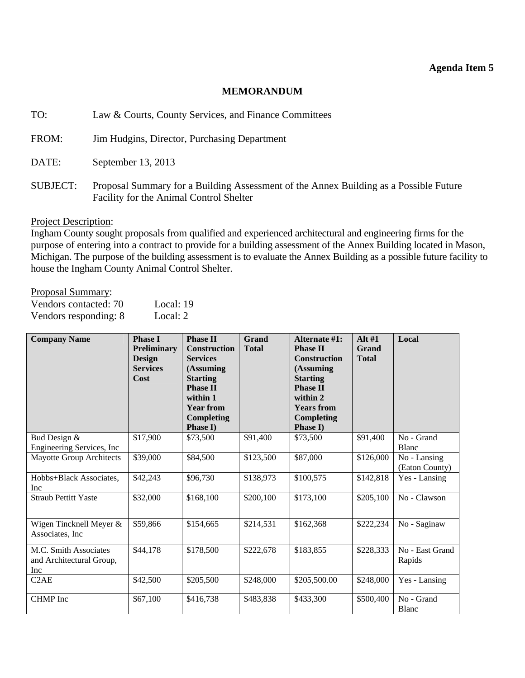#### **MEMORANDUM**

| TO:             | Law & Courts, County Services, and Finance Committees                                                                            |
|-----------------|----------------------------------------------------------------------------------------------------------------------------------|
| FROM:           | Jim Hudgins, Director, Purchasing Department                                                                                     |
| DATE:           | September 13, 2013                                                                                                               |
| <b>SUBJECT:</b> | Proposal Summary for a Building Assessment of the Annex Building as a Possible Future<br>Facility for the Animal Control Shelter |

Project Description:

Ingham County sought proposals from qualified and experienced architectural and engineering firms for the purpose of entering into a contract to provide for a building assessment of the Annex Building located in Mason, Michigan. The purpose of the building assessment is to evaluate the Annex Building as a possible future facility to house the Ingham County Animal Control Shelter.

Proposal Summary:

| Vendors contacted: 70 | Local: 19 |
|-----------------------|-----------|
| Vendors responding: 8 | Local: 2  |

| <b>Company Name</b>                                      | <b>Phase I</b><br><b>Preliminary</b><br><b>Design</b><br><b>Services</b><br>Cost | <b>Phase II</b><br><b>Construction</b><br><b>Services</b><br>(Assuming<br><b>Starting</b><br><b>Phase II</b><br>within 1<br><b>Year from</b><br>Completing<br>Phase I) | <b>Grand</b><br><b>Total</b> | Alternate #1:<br><b>Phase II</b><br><b>Construction</b><br>(Assuming<br><b>Starting</b><br><b>Phase II</b><br>within 2<br><b>Years from</b><br>Completing<br><b>Phase I)</b> | Alt $#1$<br>Grand<br><b>Total</b> | Local                          |
|----------------------------------------------------------|----------------------------------------------------------------------------------|------------------------------------------------------------------------------------------------------------------------------------------------------------------------|------------------------------|------------------------------------------------------------------------------------------------------------------------------------------------------------------------------|-----------------------------------|--------------------------------|
| Bud Design &<br>Engineering Services, Inc.               | \$17,900                                                                         | \$73,500                                                                                                                                                               | \$91,400                     | \$73,500                                                                                                                                                                     | \$91,400                          | No - Grand<br>Blanc            |
| <b>Mayotte Group Architects</b>                          | \$39,000                                                                         | \$84,500                                                                                                                                                               | \$123,500                    | \$87,000                                                                                                                                                                     | \$126,000                         | No - Lansing<br>(Eaton County) |
| Hobbs+Black Associates,<br>Inc                           | \$42,243                                                                         | \$96,730                                                                                                                                                               | \$138,973                    | \$100,575                                                                                                                                                                    | \$142,818                         | Yes - Lansing                  |
| <b>Straub Pettitt Yaste</b>                              | \$32,000                                                                         | \$168,100                                                                                                                                                              | \$200,100                    | \$173,100                                                                                                                                                                    | \$205,100                         | No - Clawson                   |
| Wigen Tincknell Meyer &<br>Associates, Inc               | \$59,866                                                                         | \$154,665                                                                                                                                                              | \$214,531                    | \$162,368                                                                                                                                                                    | \$222,234                         | No - Saginaw                   |
| M.C. Smith Associates<br>and Architectural Group,<br>Inc | \$44,178                                                                         | \$178,500                                                                                                                                                              | \$222,678                    | \$183,855                                                                                                                                                                    | \$228,333                         | No - East Grand<br>Rapids      |
| C2AE                                                     | \$42,500                                                                         | \$205,500                                                                                                                                                              | \$248,000                    | \$205,500.00                                                                                                                                                                 | \$248,000                         | Yes - Lansing                  |
| <b>CHMP</b> Inc                                          | \$67,100                                                                         | \$416,738                                                                                                                                                              | \$483,838                    | \$433,300                                                                                                                                                                    | \$500,400                         | No - Grand<br><b>Blanc</b>     |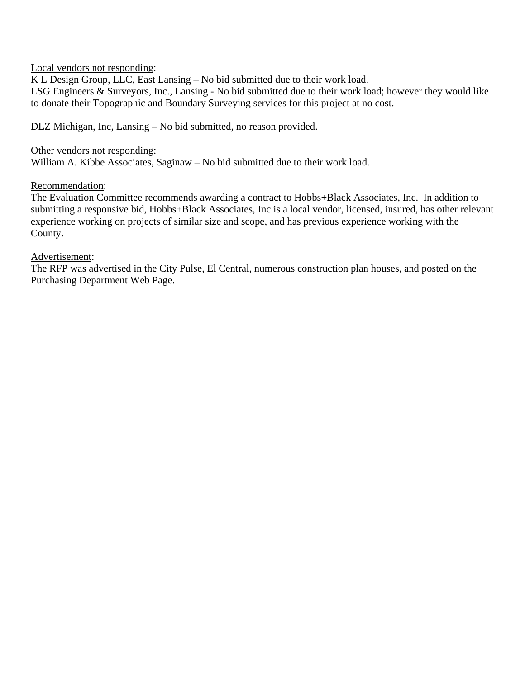Local vendors not responding:

K L Design Group, LLC, East Lansing – No bid submitted due to their work load. LSG Engineers & Surveyors, Inc., Lansing - No bid submitted due to their work load; however they would like to donate their Topographic and Boundary Surveying services for this project at no cost.

DLZ Michigan, Inc, Lansing – No bid submitted, no reason provided.

#### Other vendors not responding:

William A. Kibbe Associates, Saginaw – No bid submitted due to their work load.

### Recommendation:

The Evaluation Committee recommends awarding a contract to Hobbs+Black Associates, Inc. In addition to submitting a responsive bid, Hobbs+Black Associates, Inc is a local vendor, licensed, insured, has other relevant experience working on projects of similar size and scope, and has previous experience working with the County.

#### Advertisement:

The RFP was advertised in the City Pulse, El Central, numerous construction plan houses, and posted on the Purchasing Department Web Page.